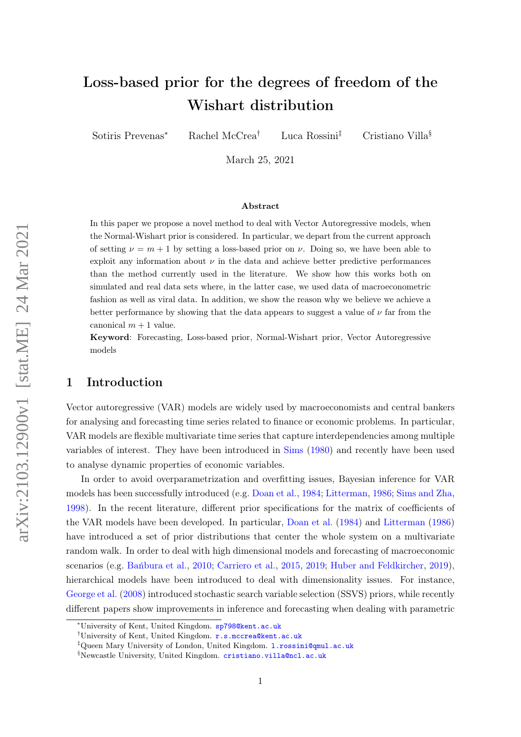# Loss-based prior for the degrees of freedom of the Wishart distribution

Sotiris Prevenas<sup>∗</sup> Rachel McCrea† Luca Rossini‡ Cristiano Villa§

March 25, 2021

#### Abstract

In this paper we propose a novel method to deal with Vector Autoregressive models, when the Normal-Wishart prior is considered. In particular, we depart from the current approach of setting  $\nu = m + 1$  by setting a loss-based prior on  $\nu$ . Doing so, we have been able to exploit any information about  $\nu$  in the data and achieve better predictive performances than the method currently used in the literature. We show how this works both on simulated and real data sets where, in the latter case, we used data of macroeconometric fashion as well as viral data. In addition, we show the reason why we believe we achieve a better performance by showing that the data appears to suggest a value of  $\nu$  far from the canonical  $m + 1$  value.

Keyword: Forecasting, Loss-based prior, Normal-Wishart prior, Vector Autoregressive models

## 1 Introduction

Vector autoregressive (VAR) models are widely used by macroeconomists and central bankers for analysing and forecasting time series related to finance or economic problems. In particular, VAR models are flexible multivariate time series that capture interdependencies among multiple variables of interest. They have been introduced in [Sims](#page-15-0) [\(1980\)](#page-15-0) and recently have been used to analyse dynamic properties of economic variables.

In order to avoid overparametrization and overfitting issues, Bayesian inference for VAR models has been successfully introduced (e.g. [Doan et al.,](#page-14-0) [1984;](#page-14-0) [Litterman,](#page-15-1) [1986;](#page-15-1) [Sims and Zha,](#page-15-2) [1998\)](#page-15-2). In the recent literature, different prior specifications for the matrix of coefficients of the VAR models have been developed. In particular, [Doan et al.](#page-14-0) [\(1984\)](#page-14-0) and [Litterman](#page-15-1) [\(1986\)](#page-15-1) have introduced a set of prior distributions that center the whole system on a multivariate random walk. In order to deal with high dimensional models and forecasting of macroeconomic scenarios (e.g. [Bańbura et al.,](#page-14-1) [2010;](#page-14-1) [Carriero et al.,](#page-14-2) [2015,](#page-14-2) [2019;](#page-14-3) [Huber and Feldkircher,](#page-15-3) [2019\)](#page-15-3), hierarchical models have been introduced to deal with dimensionality issues. For instance, [George et al.](#page-14-4) [\(2008\)](#page-14-4) introduced stochastic search variable selection (SSVS) priors, while recently different papers show improvements in inference and forecasting when dealing with parametric

<sup>∗</sup>University of Kent, United Kingdom. sp798@kent.ac.uk

<sup>†</sup>University of Kent, United Kingdom. r.s.mccrea@kent.ac.uk

<sup>&</sup>lt;sup>‡</sup>Queen Mary University of London, United Kingdom. 1. rossini@qmul.ac.uk

<sup>§</sup>Newcastle University, United Kingdom. cristiano.villa@ncl.ac.uk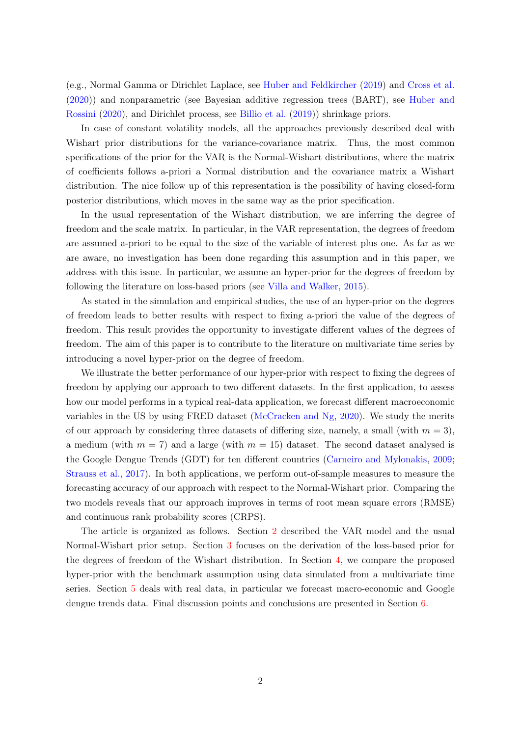(e.g., Normal Gamma or Dirichlet Laplace, see [Huber and Feldkircher](#page-15-3) [\(2019\)](#page-15-3) and [Cross et al.](#page-14-5) [\(2020\)](#page-14-5)) and nonparametric (see Bayesian additive regression trees (BART), see [Huber and](#page-15-4) [Rossini](#page-15-4) [\(2020\)](#page-15-4), and Dirichlet process, see [Billio et al.](#page-14-6) [\(2019\)](#page-14-6)) shrinkage priors.

In case of constant volatility models, all the approaches previously described deal with Wishart prior distributions for the variance-covariance matrix. Thus, the most common specifications of the prior for the VAR is the Normal-Wishart distributions, where the matrix of coefficients follows a-priori a Normal distribution and the covariance matrix a Wishart distribution. The nice follow up of this representation is the possibility of having closed-form posterior distributions, which moves in the same way as the prior specification.

In the usual representation of the Wishart distribution, we are inferring the degree of freedom and the scale matrix. In particular, in the VAR representation, the degrees of freedom are assumed a-priori to be equal to the size of the variable of interest plus one. As far as we are aware, no investigation has been done regarding this assumption and in this paper, we address with this issue. In particular, we assume an hyper-prior for the degrees of freedom by following the literature on loss-based priors (see [Villa and Walker,](#page-15-5) [2015\)](#page-15-5).

As stated in the simulation and empirical studies, the use of an hyper-prior on the degrees of freedom leads to better results with respect to fixing a-priori the value of the degrees of freedom. This result provides the opportunity to investigate different values of the degrees of freedom. The aim of this paper is to contribute to the literature on multivariate time series by introducing a novel hyper-prior on the degree of freedom.

We illustrate the better performance of our hyper-prior with respect to fixing the degrees of freedom by applying our approach to two different datasets. In the first application, to assess how our model performs in a typical real-data application, we forecast different macroeconomic variables in the US by using FRED dataset [\(McCracken and Ng,](#page-15-6) [2020\)](#page-15-6). We study the merits of our approach by considering three datasets of differing size, namely, a small (with  $m = 3$ ), a medium (with  $m = 7$ ) and a large (with  $m = 15$ ) dataset. The second dataset analysed is the Google Dengue Trends (GDT) for ten different countries [\(Carneiro and Mylonakis,](#page-14-7) [2009;](#page-14-7) [Strauss et al.,](#page-15-7) [2017\)](#page-15-7). In both applications, we perform out-of-sample measures to measure the forecasting accuracy of our approach with respect to the Normal-Wishart prior. Comparing the two models reveals that our approach improves in terms of root mean square errors (RMSE) and continuous rank probability scores (CRPS).

The article is organized as follows. Section [2](#page-2-0) described the VAR model and the usual Normal-Wishart prior setup. Section [3](#page-3-0) focuses on the derivation of the loss-based prior for the degrees of freedom of the Wishart distribution. In Section [4,](#page-6-0) we compare the proposed hyper-prior with the benchmark assumption using data simulated from a multivariate time series. Section [5](#page-8-0) deals with real data, in particular we forecast macro-economic and Google dengue trends data. Final discussion points and conclusions are presented in Section [6.](#page-13-0)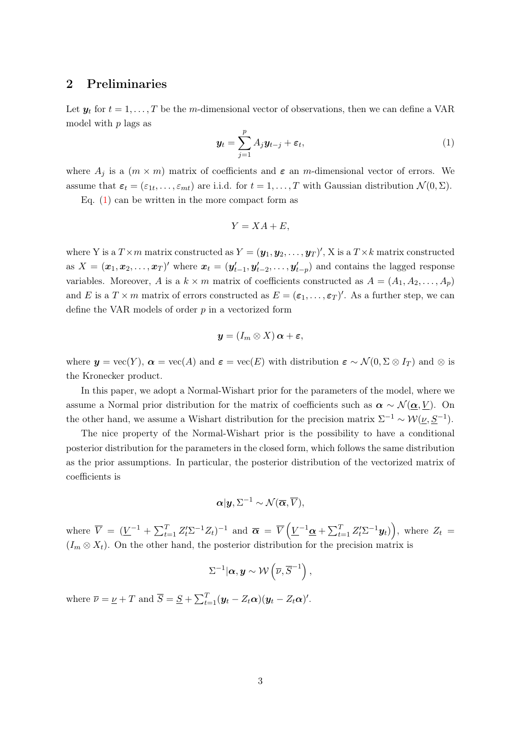## <span id="page-2-0"></span>2 Preliminaries

Let  $y_t$  for  $t = 1, \ldots, T$  be the m-dimensional vector of observations, then we can define a VAR model with  $p$  lags as

<span id="page-2-1"></span>
$$
\mathbf{y}_t = \sum_{j=1}^p A_j \mathbf{y}_{t-j} + \boldsymbol{\varepsilon}_t,\tag{1}
$$

where  $A_j$  is a  $(m \times m)$  matrix of coefficients and  $\varepsilon$  an m-dimensional vector of errors. We assume that  $\varepsilon_t = (\varepsilon_{1t}, \ldots, \varepsilon_{mt})$  are i.i.d. for  $t = 1, \ldots, T$  with Gaussian distribution  $\mathcal{N}(0, \Sigma)$ .

Eq.  $(1)$  can be written in the more compact form as

$$
Y = XA + E,
$$

where Y is a  $T \times m$  matrix constructed as  $Y = (\mathbf{y}_1, \mathbf{y}_2, \dots, \mathbf{y}_T)'$ , X is a  $T \times k$  matrix constructed as  $X = (\boldsymbol{x}_1, \boldsymbol{x}_2, \dots, \boldsymbol{x}_T)'$  where  $\boldsymbol{x}_t = (\boldsymbol{y}'_{t-1}, \boldsymbol{y}'_{t-2}, \dots, \boldsymbol{y}'_{t-p})$  and contains the lagged response variables. Moreover, A is a  $k \times m$  matrix of coefficients constructed as  $A = (A_1, A_2, \ldots, A_p)$ and E is a  $T \times m$  matrix of errors constructed as  $E = (\varepsilon_1, \ldots, \varepsilon_T)'$ . As a further step, we can define the VAR models of order  $p$  in a vectorized form

$$
\boldsymbol{y}=(I_m\otimes X)\,\boldsymbol{\alpha}+\boldsymbol{\varepsilon},
$$

where  $y = \text{vec}(Y)$ ,  $\alpha = \text{vec}(A)$  and  $\varepsilon = \text{vec}(E)$  with distribution  $\varepsilon \sim \mathcal{N}(0, \Sigma \otimes I_T)$  and  $\otimes$  is the Kronecker product.

In this paper, we adopt a Normal-Wishart prior for the parameters of the model, where we assume a Normal prior distribution for the matrix of coefficients such as  $\alpha \sim \mathcal{N}(\underline{\alpha}, \underline{V})$ . On the other hand, we assume a Wishart distribution for the precision matrix  $\Sigma^{-1} \sim \mathcal{W}(\underline{\nu}, \underline{S}^{-1})$ .

The nice property of the Normal-Wishart prior is the possibility to have a conditional posterior distribution for the parameters in the closed form, which follows the same distribution as the prior assumptions. In particular, the posterior distribution of the vectorized matrix of coefficients is

$$
\boldsymbol{\alpha} | \boldsymbol{y}, \Sigma^{-1} \sim \mathcal{N}(\overline{\boldsymbol{\alpha}}, \overline{V}),
$$

where  $\overline{V} = (\underline{V}^{-1} + \sum_{t=1}^{T} Z_t' \Sigma^{-1} Z_t)^{-1}$  and  $\overline{\alpha} = \overline{V} (\underline{V}^{-1} \underline{\alpha} + \sum_{t=1}^{T} Z_t' \Sigma^{-1} y_t)),$  where  $Z_t =$  $(I_m \otimes X_t)$ . On the other hand, the posterior distribution for the precision matrix is

$$
\Sigma^{-1}|\boldsymbol{\alpha},\boldsymbol{y}\sim\mathcal{W}\left(\overline{\nu},\overline{S}^{-1}\right),
$$

where  $\overline{\nu} = \underline{\nu} + T$  and  $\overline{S} = \underline{S} + \sum_{t=1}^{T} (\mathbf{y}_t - Z_t \alpha)(\mathbf{y}_t - Z_t \alpha)'$ .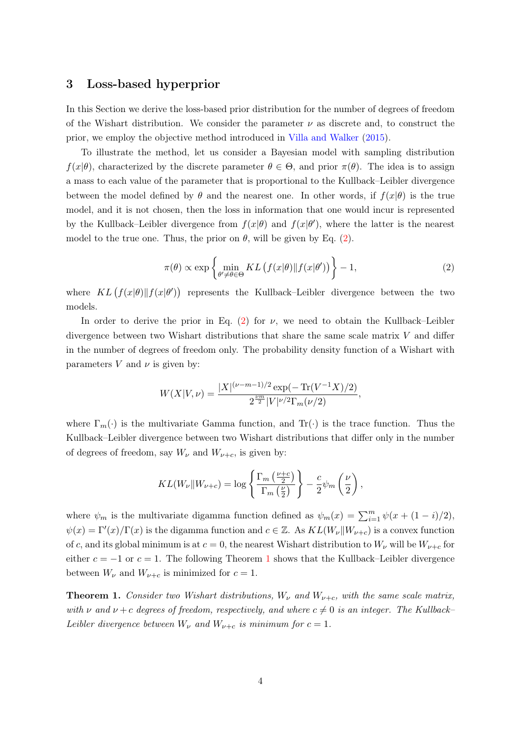#### <span id="page-3-0"></span>3 Loss-based hyperprior

In this Section we derive the loss-based prior distribution for the number of degrees of freedom of the Wishart distribution. We consider the parameter  $\nu$  as discrete and, to construct the prior, we employ the objective method introduced in [Villa and Walker](#page-15-5) [\(2015\)](#page-15-5).

To illustrate the method, let us consider a Bayesian model with sampling distribution  $f(x|\theta)$ , characterized by the discrete parameter  $\theta \in \Theta$ , and prior  $\pi(\theta)$ . The idea is to assign a mass to each value of the parameter that is proportional to the Kullback–Leibler divergence between the model defined by  $\theta$  and the nearest one. In other words, if  $f(x|\theta)$  is the true model, and it is not chosen, then the loss in information that one would incur is represented by the Kullback–Leibler divergence from  $f(x|\theta)$  and  $f(x|\theta')$ , where the latter is the nearest model to the true one. Thus, the prior on  $\theta$ , will be given by Eq. [\(2\)](#page-3-1).

<span id="page-3-1"></span>
$$
\pi(\theta) \propto \exp\left\{\min_{\theta' \neq \theta \in \Theta} KL\left(f(x|\theta) \| f(x|\theta')\right)\right\} - 1,\tag{2}
$$

where  $KL(f(x|\theta)||f(x|\theta'))$  represents the Kullback–Leibler divergence between the two models.

In order to derive the prior in Eq. [\(2\)](#page-3-1) for  $\nu$ , we need to obtain the Kullback–Leibler divergence between two Wishart distributions that share the same scale matrix  $V$  and differ in the number of degrees of freedom only. The probability density function of a Wishart with parameters V and  $\nu$  is given by:

$$
W(X|V,\nu) = \frac{|X|^{(\nu-m-1)/2} \exp(-\operatorname{Tr}(V^{-1}X)/2)}{2^{\frac{\nu m}{2}} |V|^{\nu/2} \Gamma_m(\nu/2)},
$$

where  $\Gamma_m(\cdot)$  is the multivariate Gamma function, and  $\text{Tr}(\cdot)$  is the trace function. Thus the Kullback–Leibler divergence between two Wishart distributions that differ only in the number of degrees of freedom, say  $W_{\nu}$  and  $W_{\nu+c}$ , is given by:

$$
KL(W_{\nu}||W_{\nu+c}) = \log \left\{ \frac{\Gamma_m \left( \frac{\nu+c}{2} \right)}{\Gamma_m \left( \frac{\nu}{2} \right)} \right\} - \frac{c}{2} \psi_m \left( \frac{\nu}{2} \right),
$$

where  $\psi_m$  is the multivariate digamma function defined as  $\psi_m(x) = \sum_{i=1}^m \psi(x + (1 - i)/2)$ ,  $\psi(x) = \Gamma'(x)/\Gamma(x)$  is the digamma function and  $c \in \mathbb{Z}$ . As  $KL(W_{\nu} || W_{\nu+c})$  is a convex function of c, and its global minimum is at  $c = 0$ , the nearest Wishart distribution to  $W_{\nu}$  will be  $W_{\nu+c}$  for either  $c = -1$  $c = -1$  or  $c = 1$ . The following Theorem 1 shows that the Kullback–Leibler divergence between  $W_{\nu}$  and  $W_{\nu+c}$  is minimized for  $c=1$ .

<span id="page-3-2"></span>**Theorem 1.** Consider two Wishart distributions,  $W_{\nu}$  and  $W_{\nu+c}$ , with the same scale matrix, with  $\nu$  and  $\nu + c$  degrees of freedom, respectively, and where  $c \neq 0$  is an integer. The Kullback– Leibler divergence between  $W_{\nu}$  and  $W_{\nu+c}$  is minimum for  $c=1$ .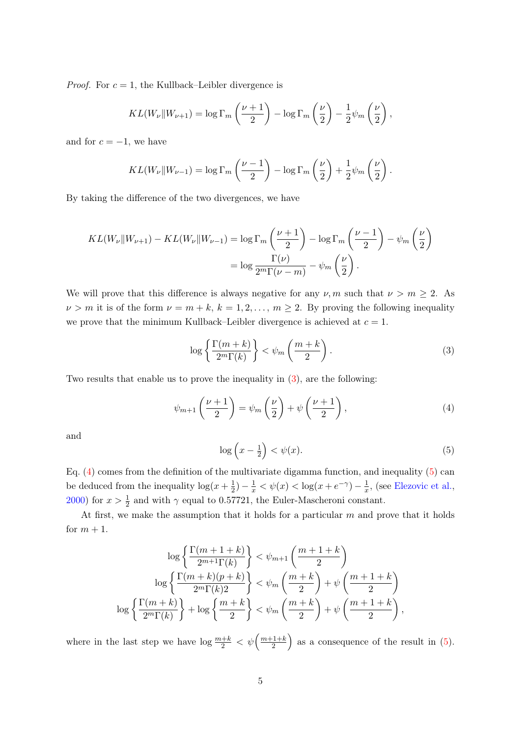*Proof.* For  $c = 1$ , the Kullback–Leibler divergence is

$$
KL(W_{\nu}||W_{\nu+1}) = \log \Gamma_m\left(\frac{\nu+1}{2}\right) - \log \Gamma_m\left(\frac{\nu}{2}\right) - \frac{1}{2}\psi_m\left(\frac{\nu}{2}\right),
$$

and for  $c = -1$ , we have

$$
KL(W_{\nu}||W_{\nu-1}) = \log \Gamma_m\left(\frac{\nu-1}{2}\right) - \log \Gamma_m\left(\frac{\nu}{2}\right) + \frac{1}{2}\psi_m\left(\frac{\nu}{2}\right).
$$

By taking the difference of the two divergences, we have

$$
KL(W_{\nu}||W_{\nu+1}) - KL(W_{\nu}||W_{\nu-1}) = \log \Gamma_m \left(\frac{\nu+1}{2}\right) - \log \Gamma_m \left(\frac{\nu-1}{2}\right) - \psi_m \left(\frac{\nu}{2}\right)
$$

$$
= \log \frac{\Gamma(\nu)}{2^m \Gamma(\nu-m)} - \psi_m \left(\frac{\nu}{2}\right).
$$

We will prove that this difference is always negative for any  $\nu, m$  such that  $\nu > m \geq 2$ . As  $\nu > m$  it is of the form  $\nu = m + k$ ,  $k = 1, 2, ..., m \ge 2$ . By proving the following inequality we prove that the minimum Kullback–Leibler divergence is achieved at  $c = 1$ .

<span id="page-4-0"></span>
$$
\log\left\{\frac{\Gamma(m+k)}{2^m \Gamma(k)}\right\} < \psi_m\left(\frac{m+k}{2}\right). \tag{3}
$$

Two results that enable us to prove the inequality in [\(3\)](#page-4-0), are the following:

<span id="page-4-1"></span>
$$
\psi_{m+1}\left(\frac{\nu+1}{2}\right) = \psi_m\left(\frac{\nu}{2}\right) + \psi\left(\frac{\nu+1}{2}\right),\tag{4}
$$

and

<span id="page-4-2"></span>
$$
\log\left(x - \frac{1}{2}\right) < \psi(x). \tag{5}
$$

Eq. [\(4\)](#page-4-1) comes from the definition of the multivariate digamma function, and inequality [\(5\)](#page-4-2) can be deduced from the inequality  $\log(x+\frac{1}{2})$  $(\frac{1}{2}) - \frac{1}{x} < \psi(x) < \log(x + e^{-\gamma}) - \frac{1}{x}$  $\frac{1}{x}$ , (see [Elezovic et al.,](#page-14-8) [2000\)](#page-14-8) for  $x > \frac{1}{2}$  and with  $\gamma$  equal to 0.57721, the Euler-Mascheroni constant.

At first, we make the assumption that it holds for a particular  $m$  and prove that it holds for  $m + 1$ .

$$
\log\left\{\frac{\Gamma(m+1+k)}{2^{m+1}\Gamma(k)}\right\} < \psi_{m+1}\left(\frac{m+1+k}{2}\right)
$$

$$
\log\left\{\frac{\Gamma(m+k)(p+k)}{2^m\Gamma(k)2}\right\} < \psi_m\left(\frac{m+k}{2}\right) + \psi\left(\frac{m+1+k}{2}\right)
$$

$$
\log\left\{\frac{\Gamma(m+k)}{2^m\Gamma(k)}\right\} + \log\left\{\frac{m+k}{2}\right\} < \psi_m\left(\frac{m+k}{2}\right) + \psi\left(\frac{m+1+k}{2}\right),
$$

where in the last step we have  $\log \frac{m+k}{2} < \psi \left( \frac{m+1+k}{2} \right)$  $\frac{(1+k)}{2}$  as a consequence of the result in [\(5\)](#page-4-2).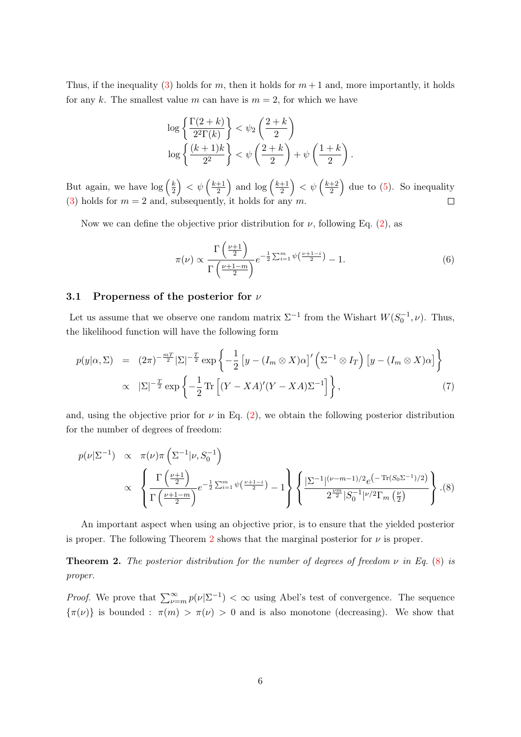Thus, if the inequality [\(3\)](#page-4-0) holds for m, then it holds for  $m+1$  and, more importantly, it holds for any k. The smallest value m can have is  $m = 2$ , for which we have

$$
\log\left\{\frac{\Gamma(2+k)}{2^{2}\Gamma(k)}\right\} < \psi_{2}\left(\frac{2+k}{2}\right)
$$

$$
\log\left\{\frac{(k+1)k}{2^{2}}\right\} < \psi\left(\frac{2+k}{2}\right) + \psi\left(\frac{1+k}{2}\right).
$$

But again, we have  $\log\left(\frac{k}{2}\right)$  $\left(\frac{k}{2}\right) < \psi\left(\frac{k+1}{2}\right)$  $\frac{+1}{2}$  and  $\log\left(\frac{k+1}{2}\right)$  $\left(\frac{+1}{2}\right)<\psi\left(\frac{k+2}{2}\right)$  $\frac{+2}{2}$  due to [\(5\)](#page-4-2). So inequality [\(3\)](#page-4-0) holds for  $m = 2$  and, subsequently, it holds for any m.

Now we can define the objective prior distribution for  $\nu$ , following Eq. [\(2\)](#page-3-1), as

$$
\pi(\nu) \propto \frac{\Gamma\left(\frac{\nu+1}{2}\right)}{\Gamma\left(\frac{\nu+1-m}{2}\right)} e^{-\frac{1}{2}\sum_{i=1}^{m} \psi\left(\frac{\nu+1-i}{2}\right)} - 1.
$$
\n(6)

#### 3.1 Properness of the posterior for  $\nu$

Let us assume that we observe one random matrix  $\Sigma^{-1}$  from the Wishart  $W(S_0^{-1}, \nu)$ . Thus, the likelihood function will have the following form

$$
p(y|\alpha, \Sigma) = (2\pi)^{-\frac{mT}{2}} |\Sigma|^{-\frac{T}{2}} \exp\left\{-\frac{1}{2} \left[ y - (I_m \otimes X)\alpha \right]'\left(\Sigma^{-1} \otimes I_T\right) \left[ y - (I_m \otimes X)\alpha \right] \right\}
$$
  
 
$$
\propto |\Sigma|^{-\frac{T}{2}} \exp\left\{-\frac{1}{2} \operatorname{Tr}\left[ (Y - XA)'(Y - XA)\Sigma^{-1} \right] \right\}, \tag{7}
$$

and, using the objective prior for  $\nu$  in Eq. [\(2\)](#page-3-1), we obtain the following posterior distribution for the number of degrees of freedom:

<span id="page-5-1"></span>
$$
p(\nu|\Sigma^{-1}) \propto \pi(\nu)\pi\left(\Sigma^{-1}|\nu, S_0^{-1}\right)
$$
  
 
$$
\propto \left\{\frac{\Gamma\left(\frac{\nu+1}{2}\right)}{\Gamma\left(\frac{\nu+1-m}{2}\right)}e^{-\frac{1}{2}\sum_{i=1}^{m}\psi\left(\frac{\nu+1-i}{2}\right)} - 1\right\} \left\{\frac{|\Sigma^{-1}|^{(\nu-m-1)/2}e^{-\text{Tr}(S_0\Sigma^{-1})/2}}{2^{\frac{\nu m}{2}}|S_0^{-1}|^{\nu/2}\Gamma_m\left(\frac{\nu}{2}\right)}\right\}.
$$
(8)

An important aspect when using an objective prior, is to ensure that the yielded posterior is proper. The following Theorem [2](#page-5-0) shows that the marginal posterior for  $\nu$  is proper.

<span id="page-5-0"></span>**Theorem 2.** The posterior distribution for the number of degrees of freedom  $\nu$  in Eq. [\(8\)](#page-5-1) is proper.

*Proof.* We prove that  $\sum_{\nu=m}^{\infty} p(\nu|\Sigma^{-1}) < \infty$  using Abel's test of convergence. The sequence  ${\lbrace \pi(\nu) \rbrace}$  is bounded :  $\pi(m) > \pi(\nu) > 0$  and is also monotone (decreasing). We show that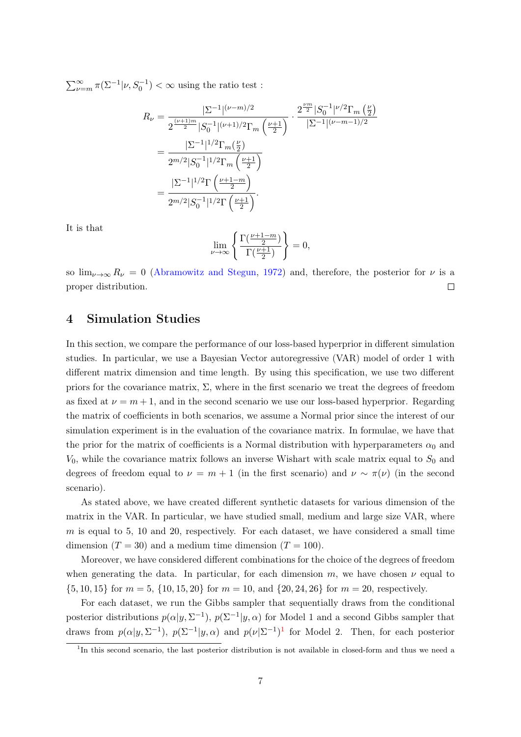$\sum_{\nu=m}^{\infty} \pi(\Sigma^{-1}|\nu, S_0^{-1}) < \infty$  using the ratio test :

$$
R_{\nu} = \frac{|\Sigma^{-1}|^{(\nu-m)/2}}{2^{\frac{(\nu+1)m}{2}}|S_0^{-1}|^{(\nu+1)/2}\Gamma_m\left(\frac{\nu+1}{2}\right)} \cdot \frac{2^{\frac{\nu m}{2}}|S_0^{-1}|^{\nu/2}\Gamma_m\left(\frac{\nu}{2}\right)}{|\Sigma^{-1}|^{(\nu-m-1)/2}}
$$
  
= 
$$
\frac{|\Sigma^{-1}|^{1/2}\Gamma_m\left(\frac{\nu}{2}\right)}{2^{m/2}|S_0^{-1}|^{1/2}\Gamma_m\left(\frac{\nu+1-m}{2}\right)}
$$
  
= 
$$
\frac{|\Sigma^{-1}|^{1/2}\Gamma\left(\frac{\nu+1-m}{2}\right)}{2^{m/2}|S_0^{-1}|^{1/2}\Gamma\left(\frac{\nu+1}{2}\right)}.
$$

It is that

$$
\lim_{\nu \to \infty} \left\{ \frac{\Gamma(\frac{\nu+1-m}{2})}{\Gamma(\frac{\nu+1}{2})} \right\} = 0,
$$

so  $\lim_{\nu\to\infty} R_{\nu} = 0$  [\(Abramowitz and Stegun,](#page-14-9) [1972\)](#page-14-9) and, therefore, the posterior for  $\nu$  is a proper distribution.  $\Box$ 

## <span id="page-6-0"></span>4 Simulation Studies

In this section, we compare the performance of our loss-based hyperprior in different simulation studies. In particular, we use a Bayesian Vector autoregressive (VAR) model of order 1 with different matrix dimension and time length. By using this specification, we use two different priors for the covariance matrix,  $\Sigma$ , where in the first scenario we treat the degrees of freedom as fixed at  $\nu = m + 1$ , and in the second scenario we use our loss-based hyperprior. Regarding the matrix of coefficients in both scenarios, we assume a Normal prior since the interest of our simulation experiment is in the evaluation of the covariance matrix. In formulae, we have that the prior for the matrix of coefficients is a Normal distribution with hyperparameters  $\alpha_0$  and  $V_0$ , while the covariance matrix follows an inverse Wishart with scale matrix equal to  $S_0$  and degrees of freedom equal to  $\nu = m + 1$  (in the first scenario) and  $\nu \sim \pi(\nu)$  (in the second scenario).

As stated above, we have created different synthetic datasets for various dimension of the matrix in the VAR. In particular, we have studied small, medium and large size VAR, where  $m$  is equal to 5, 10 and 20, respectively. For each dataset, we have considered a small time dimension  $(T = 30)$  and a medium time dimension  $(T = 100)$ .

Moreover, we have considered different combinations for the choice of the degrees of freedom when generating the data. In particular, for each dimension m, we have chosen  $\nu$  equal to  $\{5, 10, 15\}$  for  $m = 5$ ,  $\{10, 15, 20\}$  for  $m = 10$ , and  $\{20, 24, 26\}$  for  $m = 20$ , respectively.

For each dataset, we run the Gibbs sampler that sequentially draws from the conditional posterior distributions  $p(\alpha|y, \Sigma^{-1}), p(\Sigma^{-1}|y, \alpha)$  for Model 1 and a second Gibbs sampler that draws from  $p(\alpha|y, \Sigma^{-1}), p(\Sigma^{-1}|y, \alpha)$  $p(\alpha|y, \Sigma^{-1}), p(\Sigma^{-1}|y, \alpha)$  $p(\alpha|y, \Sigma^{-1}), p(\Sigma^{-1}|y, \alpha)$  and  $p(\nu|\Sigma^{-1})^1$  for Model 2. Then, for each posterior

<span id="page-6-1"></span><sup>&</sup>lt;sup>1</sup>In this second scenario, the last posterior distribution is not available in closed-form and thus we need a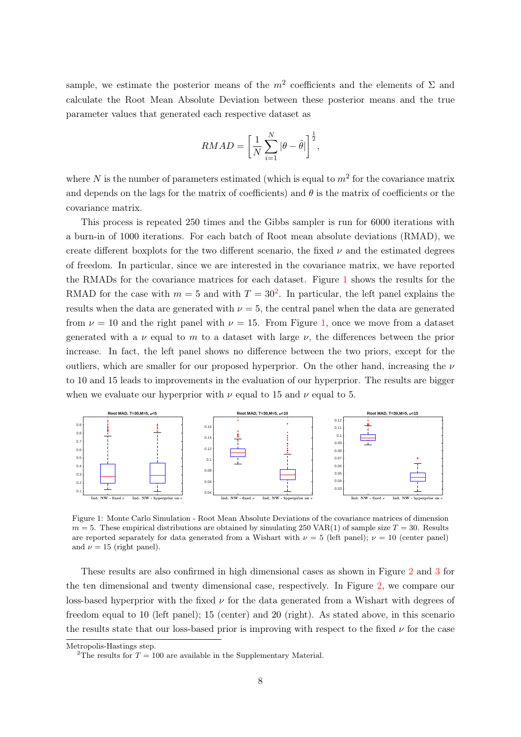sample, we estimate the posterior means of the  $m^2$  coefficients and the elements of  $\Sigma$  and calculate the Root Mean Absolute Deviation between these posterior means and the true parameter values that generated each respective dataset as

$$
RMAD = \left[\frac{1}{N}\sum_{i=1}^{N} |\theta - \hat{\theta}| \right]^{\frac{1}{2}},
$$

where N is the number of parameters estimated (which is equal to  $m^2$  for the covariance matrix and depends on the lags for the matrix of coefficients) and  $\theta$  is the matrix of coefficients or the covariance matrix.

This process is repeated 250 times and the Gibbs sampler is run for 6000 iterations with a burn-in of 1000 iterations. For each batch of Root mean absolute deviations (RMAD), we create different boxplots for the two different scenario, the fixed  $\nu$  and the estimated degrees of freedom. In particular, since we are interested in the covariance matrix, we have reported the RMADs for the covariance matrices for each dataset. Figure [1](#page-7-0) shows the results for the RMAD for the case with  $m = 5$  and with  $T = 30^2$  $T = 30^2$ . In particular, the left panel explains the results when the data are generated with  $\nu = 5$ , the central panel when the data are generated from  $\nu = 10$  and the right panel with  $\nu = 15$ . From Figure [1,](#page-7-0) once we move from a dataset generated with a  $\nu$  equal to m to a dataset with large  $\nu$ , the differences between the prior increase. In fact, the left panel shows no difference between the two priors, except for the outliers, which are smaller for our proposed hyperprior. On the other hand, increasing the  $\nu$ to 10 and 15 leads to improvements in the evaluation of our hyperprior. The results are bigger when we evaluate our hyperprior with  $\nu$  equal to 15 and  $\nu$  equal to 5.

<span id="page-7-0"></span>

Figure 1: Monte Carlo Simulation - Root Mean Absolute Deviations of the covariance matrices of dimension  $m = 5$ . These empirical distributions are obtained by simulating 250 VAR(1) of sample size  $T = 30$ . Results are reported separately for data generated from a Wishart with  $\nu = 5$  (left panel);  $\nu = 10$  (center panel) and  $\nu = 15$  (right panel).

These results are also confirmed in high dimensional cases as shown in Figure [2](#page-8-1) and [3](#page-8-2) for the ten dimensional and twenty dimensional case, respectively. In Figure [2,](#page-8-1) we compare our loss-based hyperprior with the fixed  $\nu$  for the data generated from a Wishart with degrees of freedom equal to 10 (left panel); 15 (center) and 20 (right). As stated above, in this scenario the results state that our loss-based prior is improving with respect to the fixed  $\nu$  for the case

Metropolis-Hastings step.

<span id="page-7-1"></span><sup>&</sup>lt;sup>2</sup>The results for  $T = 100$  are available in the Supplementary Material.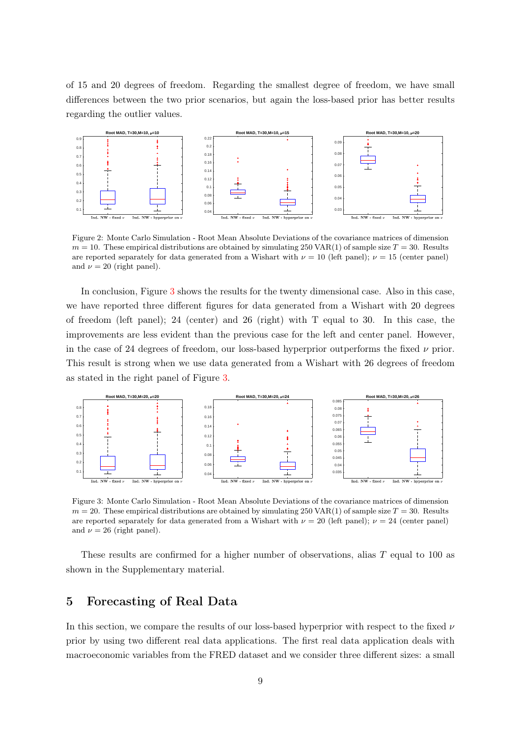of 15 and 20 degrees of freedom. Regarding the smallest degree of freedom, we have small differences between the two prior scenarios, but again the loss-based prior has better results regarding the outlier values.

<span id="page-8-1"></span>

Figure 2: Monte Carlo Simulation - Root Mean Absolute Deviations of the covariance matrices of dimension  $m = 10$ . These empirical distributions are obtained by simulating 250 VAR(1) of sample size  $T = 30$ . Results are reported separately for data generated from a Wishart with  $\nu = 10$  (left panel);  $\nu = 15$  (center panel) and  $\nu = 20$  (right panel).

In conclusion, Figure [3](#page-8-2) shows the results for the twenty dimensional case. Also in this case, we have reported three different figures for data generated from a Wishart with 20 degrees of freedom (left panel); 24 (center) and 26 (right) with T equal to 30. In this case, the improvements are less evident than the previous case for the left and center panel. However, in the case of 24 degrees of freedom, our loss-based hyperprior outperforms the fixed  $\nu$  prior. This result is strong when we use data generated from a Wishart with 26 degrees of freedom as stated in the right panel of Figure [3.](#page-8-2)

<span id="page-8-2"></span>

Figure 3: Monte Carlo Simulation - Root Mean Absolute Deviations of the covariance matrices of dimension  $m = 20$ . These empirical distributions are obtained by simulating 250 VAR(1) of sample size  $T = 30$ . Results are reported separately for data generated from a Wishart with  $\nu = 20$  (left panel);  $\nu = 24$  (center panel) and  $\nu = 26$  (right panel).

These results are confirmed for a higher number of observations, alias T equal to 100 as shown in the Supplementary material.

## <span id="page-8-0"></span>5 Forecasting of Real Data

In this section, we compare the results of our loss-based hyperprior with respect to the fixed  $\nu$ prior by using two different real data applications. The first real data application deals with macroeconomic variables from the FRED dataset and we consider three different sizes: a small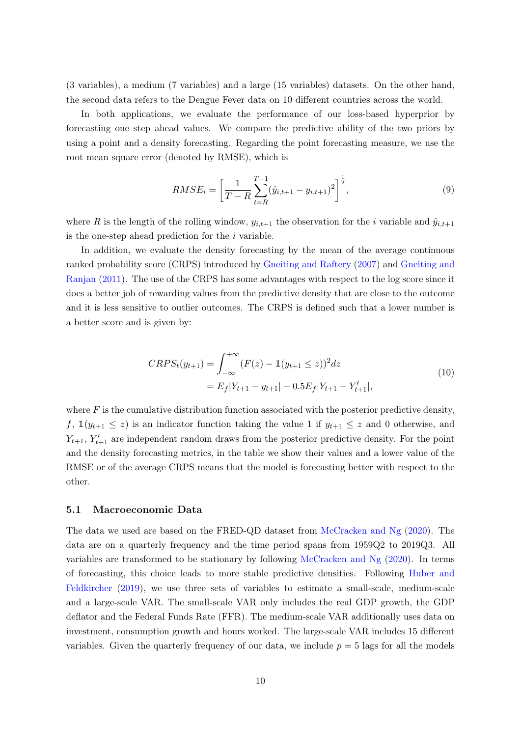(3 variables), a medium (7 variables) and a large (15 variables) datasets. On the other hand, the second data refers to the Dengue Fever data on 10 different countries across the world.

In both applications, we evaluate the performance of our loss-based hyperprior by forecasting one step ahead values. We compare the predictive ability of the two priors by using a point and a density forecasting. Regarding the point forecasting measure, we use the root mean square error (denoted by RMSE), which is

$$
RMSE_i = \left[\frac{1}{T - R} \sum_{t=R}^{T-1} (\hat{y}_{i,t+1} - y_{i,t+1})^2\right]^{\frac{1}{2}},\tag{9}
$$

where R is the length of the rolling window,  $y_{i,t+1}$  the observation for the i variable and  $\hat{y}_{i,t+1}$ is the one-step ahead prediction for the i variable.

In addition, we evaluate the density forecasting by the mean of the average continuous ranked probability score (CRPS) introduced by [Gneiting and Raftery](#page-15-8) [\(2007\)](#page-15-8) and [Gneiting and](#page-15-9) [Ranjan](#page-15-9) [\(2011\)](#page-15-9). The use of the CRPS has some advantages with respect to the log score since it does a better job of rewarding values from the predictive density that are close to the outcome and it is less sensitive to outlier outcomes. The CRPS is defined such that a lower number is a better score and is given by:

$$
CRPS_t(y_{t+1}) = \int_{-\infty}^{+\infty} (F(z) - \mathbb{1}(y_{t+1} \le z))^2 dz
$$
  
=  $E_f|Y_{t+1} - y_{t+1}| - 0.5E_f|Y_{t+1} - Y'_{t+1}|,$  (10)

where  $F$  is the cumulative distribution function associated with the posterior predictive density, f,  $\mathbb{1}(y_{t+1} \leq z)$  is an indicator function taking the value 1 if  $y_{t+1} \leq z$  and 0 otherwise, and  $Y_{t+1}, Y'_{t+1}$  are independent random draws from the posterior predictive density. For the point and the density forecasting metrics, in the table we show their values and a lower value of the RMSE or of the average CRPS means that the model is forecasting better with respect to the other.

#### 5.1 Macroeconomic Data

The data we used are based on the FRED-QD dataset from [McCracken and Ng](#page-15-6) [\(2020\)](#page-15-6). The data are on a quarterly frequency and the time period spans from 1959Q2 to 2019Q3. All variables are transformed to be stationary by following [McCracken and Ng](#page-15-6) [\(2020\)](#page-15-6). In terms of forecasting, this choice leads to more stable predictive densities. Following [Huber and](#page-15-3) [Feldkircher](#page-15-3) [\(2019\)](#page-15-3), we use three sets of variables to estimate a small-scale, medium-scale and a large-scale VAR. The small-scale VAR only includes the real GDP growth, the GDP deflator and the Federal Funds Rate (FFR). The medium-scale VAR additionally uses data on investment, consumption growth and hours worked. The large-scale VAR includes 15 different variables. Given the quarterly frequency of our data, we include  $p = 5$  lags for all the models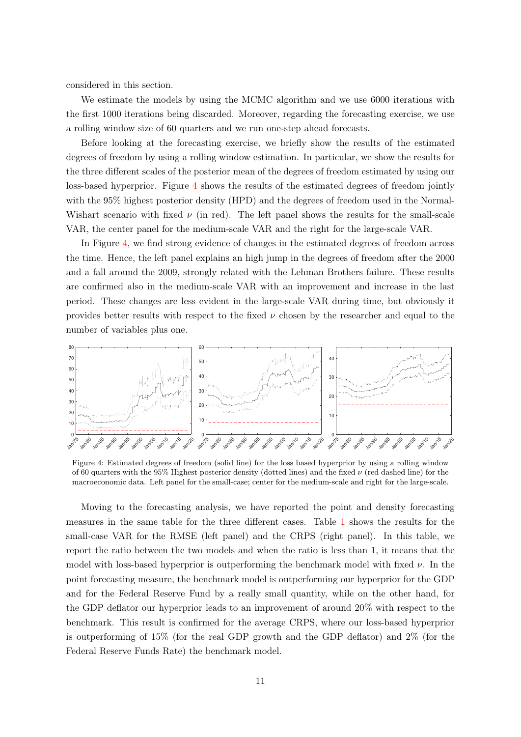considered in this section.

We estimate the models by using the MCMC algorithm and we use 6000 iterations with the first 1000 iterations being discarded. Moreover, regarding the forecasting exercise, we use a rolling window size of 60 quarters and we run one-step ahead forecasts.

Before looking at the forecasting exercise, we briefly show the results of the estimated degrees of freedom by using a rolling window estimation. In particular, we show the results for the three different scales of the posterior mean of the degrees of freedom estimated by using our loss-based hyperprior. Figure [4](#page-10-0) shows the results of the estimated degrees of freedom jointly with the 95% highest posterior density (HPD) and the degrees of freedom used in the Normal-Wishart scenario with fixed  $\nu$  (in red). The left panel shows the results for the small-scale VAR, the center panel for the medium-scale VAR and the right for the large-scale VAR.

In Figure [4,](#page-10-0) we find strong evidence of changes in the estimated degrees of freedom across the time. Hence, the left panel explains an high jump in the degrees of freedom after the 2000 and a fall around the 2009, strongly related with the Lehman Brothers failure. These results are confirmed also in the medium-scale VAR with an improvement and increase in the last period. These changes are less evident in the large-scale VAR during time, but obviously it provides better results with respect to the fixed  $\nu$  chosen by the researcher and equal to the number of variables plus one.

<span id="page-10-0"></span>

Figure 4: Estimated degrees of freedom (solid line) for the loss based hyperprior by using a rolling window of 60 quarters with the 95% Highest posterior density (dotted lines) and the fixed  $\nu$  (red dashed line) for the macroeconomic data. Left panel for the small-case; center for the medium-scale and right for the large-scale.

Moving to the forecasting analysis, we have reported the point and density forecasting measures in the same table for the three different cases. Table [1](#page-11-0) shows the results for the small-case VAR for the RMSE (left panel) and the CRPS (right panel). In this table, we report the ratio between the two models and when the ratio is less than 1, it means that the model with loss-based hyperprior is outperforming the benchmark model with fixed  $\nu$ . In the point forecasting measure, the benchmark model is outperforming our hyperprior for the GDP and for the Federal Reserve Fund by a really small quantity, while on the other hand, for the GDP deflator our hyperprior leads to an improvement of around 20% with respect to the benchmark. This result is confirmed for the average CRPS, where our loss-based hyperprior is outperforming of 15% (for the real GDP growth and the GDP deflator) and 2% (for the Federal Reserve Funds Rate) the benchmark model.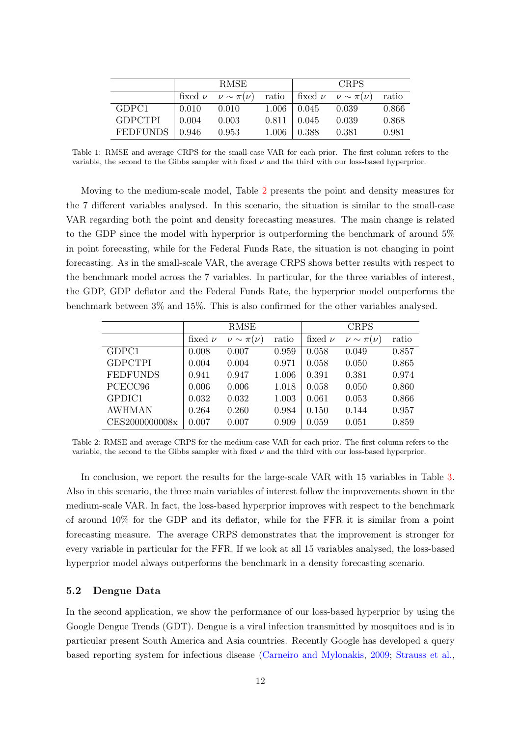<span id="page-11-0"></span>

|                 | <b>RMSE</b> |                     |       | <b>CRPS</b>        |                               |       |
|-----------------|-------------|---------------------|-------|--------------------|-------------------------------|-------|
|                 | fixed $\nu$ | $\nu \sim \pi(\nu)$ | ratio |                    | fixed $\nu \nu \sim \pi(\nu)$ | ratio |
| GDPC1           | 0.010       | 0.010               |       | $1.006 \div 0.045$ | 0.039                         | 0.866 |
| <b>GDPCTPI</b>  | 0.004       | 0.003               | 0.811 | 0.045              | 0.039                         | 0.868 |
| <b>FEDFUNDS</b> | 0.946       | 0.953               | 1.006 | 0.388              | 0.381                         | 0.981 |

Table 1: RMSE and average CRPS for the small-case VAR for each prior. The first column refers to the variable, the second to the Gibbs sampler with fixed  $\nu$  and the third with our loss-based hyperprior.

Moving to the medium-scale model, Table [2](#page-11-1) presents the point and density measures for the 7 different variables analysed. In this scenario, the situation is similar to the small-case VAR regarding both the point and density forecasting measures. The main change is related to the GDP since the model with hyperprior is outperforming the benchmark of around 5% in point forecasting, while for the Federal Funds Rate, the situation is not changing in point forecasting. As in the small-scale VAR, the average CRPS shows better results with respect to the benchmark model across the 7 variables. In particular, for the three variables of interest, the GDP, GDP deflator and the Federal Funds Rate, the hyperprior model outperforms the benchmark between 3% and 15%. This is also confirmed for the other variables analysed.

<span id="page-11-1"></span>

|                 |             | RMSE                |       |             | <b>CRPS</b>         |       |
|-----------------|-------------|---------------------|-------|-------------|---------------------|-------|
|                 | fixed $\nu$ | $\nu \sim \pi(\nu)$ | ratio | fixed $\nu$ | $\nu \sim \pi(\nu)$ | ratio |
| GDPC1           | 0.008       | 0.007               | 0.959 | 0.058       | 0.049               | 0.857 |
| <b>GDPCTPI</b>  | 0.004       | 0.004               | 0.971 | 0.058       | 0.050               | 0.865 |
| <b>FEDFUNDS</b> | 0.941       | 0.947               | 1.006 | 0.391       | 0.381               | 0.974 |
| PCECC96         | 0.006       | 0.006               | 1.018 | 0.058       | 0.050               | 0.860 |
| GPDIC1          | 0.032       | 0.032               | 1.003 | 0.061       | 0.053               | 0.866 |
| <b>AWHMAN</b>   | 0.264       | 0.260               | 0.984 | 0.150       | 0.144               | 0.957 |
| CES2000000008x  | 0.007       | 0.007               | 0.909 | 0.059       | 0.051               | 0.859 |

Table 2: RMSE and average CRPS for the medium-case VAR for each prior. The first column refers to the variable, the second to the Gibbs sampler with fixed  $\nu$  and the third with our loss-based hyperprior.

In conclusion, we report the results for the large-scale VAR with 15 variables in Table [3.](#page-12-0) Also in this scenario, the three main variables of interest follow the improvements shown in the medium-scale VAR. In fact, the loss-based hyperprior improves with respect to the benchmark of around 10% for the GDP and its deflator, while for the FFR it is similar from a point forecasting measure. The average CRPS demonstrates that the improvement is stronger for every variable in particular for the FFR. If we look at all 15 variables analysed, the loss-based hyperprior model always outperforms the benchmark in a density forecasting scenario.

#### 5.2 Dengue Data

In the second application, we show the performance of our loss-based hyperprior by using the Google Dengue Trends (GDT). Dengue is a viral infection transmitted by mosquitoes and is in particular present South America and Asia countries. Recently Google has developed a query based reporting system for infectious disease [\(Carneiro and Mylonakis,](#page-14-7) [2009;](#page-14-7) [Strauss et al.,](#page-15-7)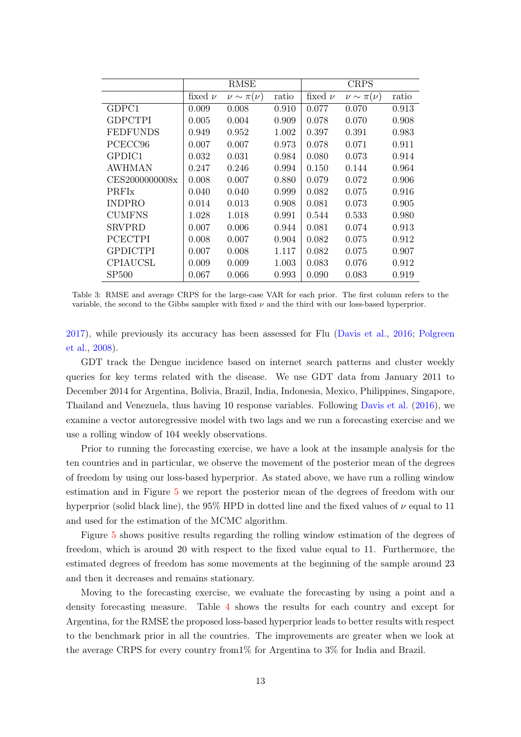<span id="page-12-0"></span>

|                 |             | RMSE                |       |             | <b>CRPS</b>         |       |
|-----------------|-------------|---------------------|-------|-------------|---------------------|-------|
|                 | fixed $\nu$ | $\nu \sim \pi(\nu)$ | ratio | fixed $\nu$ | $\nu \sim \pi(\nu)$ | ratio |
| GDPC1           | 0.009       | 0.008               | 0.910 | 0.077       | 0.070               | 0.913 |
| <b>GDPCTPI</b>  | 0.005       | 0.004               | 0.909 | 0.078       | 0.070               | 0.908 |
| <b>FEDFUNDS</b> | 0.949       | 0.952               | 1.002 | 0.397       | 0.391               | 0.983 |
| PCECC96         | 0.007       | 0.007               | 0.973 | 0.078       | 0.071               | 0.911 |
| GPDIC1          | 0.032       | 0.031               | 0.984 | 0.080       | 0.073               | 0.914 |
| AWHMAN          | 0.247       | 0.246               | 0.994 | 0.150       | 0.144               | 0.964 |
| CES2000000008x  | 0.008       | 0.007               | 0.880 | 0.079       | 0.072               | 0.906 |
| <b>PRFIx</b>    | 0.040       | 0.040               | 0.999 | 0.082       | 0.075               | 0.916 |
| <b>INDPRO</b>   | 0.014       | 0.013               | 0.908 | 0.081       | 0.073               | 0.905 |
| <b>CUMFNS</b>   | 1.028       | 1.018               | 0.991 | 0.544       | 0.533               | 0.980 |
| <b>SRVPRD</b>   | 0.007       | 0.006               | 0.944 | 0.081       | 0.074               | 0.913 |
| <b>PCECTPI</b>  | 0.008       | 0.007               | 0.904 | 0.082       | 0.075               | 0.912 |
| <b>GPDICTPI</b> | 0.007       | 0.008               | 1.117 | 0.082       | 0.075               | 0.907 |
| <b>CPIAUCSL</b> | 0.009       | 0.009               | 1.003 | 0.083       | 0.076               | 0.912 |
| <b>SP500</b>    | $0.067\,$   | 0.066               | 0.993 | 0.090       | 0.083               | 0.919 |

Table 3: RMSE and average CRPS for the large-case VAR for each prior. The first column refers to the variable, the second to the Gibbs sampler with fixed  $\nu$  and the third with our loss-based hyperprior.

[2017\)](#page-15-7), while previously its accuracy has been assessed for Flu [\(Davis et al.,](#page-14-10) [2016;](#page-14-10) [Polgreen](#page-15-10) [et al.,](#page-15-10) [2008\)](#page-15-10).

GDT track the Dengue incidence based on internet search patterns and cluster weekly queries for key terms related with the disease. We use GDT data from January 2011 to December 2014 for Argentina, Bolivia, Brazil, India, Indonesia, Mexico, Philippines, Singapore, Thailand and Venezuela, thus having 10 response variables. Following [Davis et al.](#page-14-10) [\(2016\)](#page-14-10), we examine a vector autoregressive model with two lags and we run a forecasting exercise and we use a rolling window of 104 weekly observations.

Prior to running the forecasting exercise, we have a look at the insample analysis for the ten countries and in particular, we observe the movement of the posterior mean of the degrees of freedom by using our loss-based hyperprior. As stated above, we have run a rolling window estimation and in Figure [5](#page-13-1) we report the posterior mean of the degrees of freedom with our hyperprior (solid black line), the 95% HPD in dotted line and the fixed values of  $\nu$  equal to 11 and used for the estimation of the MCMC algorithm.

Figure [5](#page-13-1) shows positive results regarding the rolling window estimation of the degrees of freedom, which is around 20 with respect to the fixed value equal to 11. Furthermore, the estimated degrees of freedom has some movements at the beginning of the sample around 23 and then it decreases and remains stationary.

Moving to the forecasting exercise, we evaluate the forecasting by using a point and a density forecasting measure. Table [4](#page-13-2) shows the results for each country and except for Argentina, for the RMSE the proposed loss-based hyperprior leads to better results with respect to the benchmark prior in all the countries. The improvements are greater when we look at the average CRPS for every country from1% for Argentina to 3% for India and Brazil.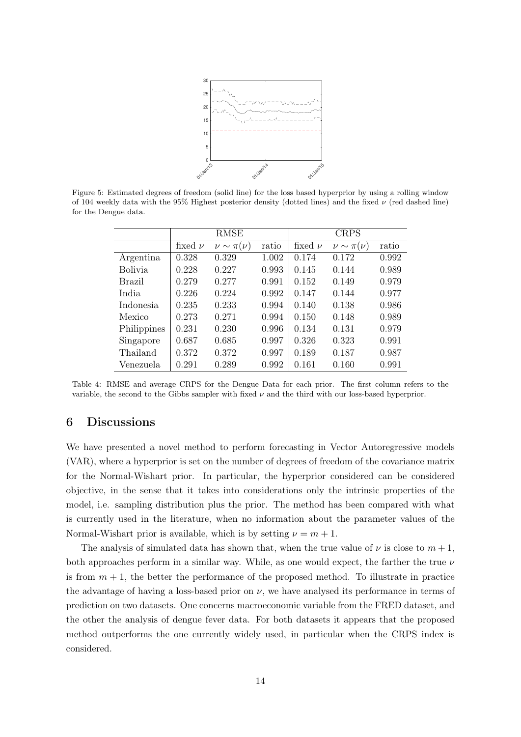

<span id="page-13-2"></span><span id="page-13-1"></span>Figure 5: Estimated degrees of freedom (solid line) for the loss based hyperprior by using a rolling window of 104 weekly data with the 95% Highest posterior density (dotted lines) and the fixed  $\nu$  (red dashed line) for the Dengue data.

|                | <b>RMSE</b> |                     |       | <b>CRPS</b> |                     |       |  |
|----------------|-------------|---------------------|-------|-------------|---------------------|-------|--|
|                | fixed $\nu$ | $\nu \sim \pi(\nu)$ | ratio | fixed $\nu$ | $\nu \sim \pi(\nu)$ | ratio |  |
| Argentina      | 0.328       | 0.329               | 1.002 | 0.174       | 0.172               | 0.992 |  |
| <b>Bolivia</b> | 0.228       | 0.227               | 0.993 | 0.145       | 0.144               | 0.989 |  |
| <b>Brazil</b>  | 0.279       | 0.277               | 0.991 | 0.152       | 0.149               | 0.979 |  |
| India          | 0.226       | 0.224               | 0.992 | 0.147       | 0.144               | 0.977 |  |
| Indonesia      | 0.235       | 0.233               | 0.994 | 0.140       | 0.138               | 0.986 |  |
| Mexico         | 0.273       | 0.271               | 0.994 | 0.150       | 0.148               | 0.989 |  |
| Philippines    | 0.231       | 0.230               | 0.996 | 0.134       | 0.131               | 0.979 |  |
| Singapore      | 0.687       | 0.685               | 0.997 | 0.326       | 0.323               | 0.991 |  |
| Thailand       | 0.372       | 0.372               | 0.997 | 0.189       | 0.187               | 0.987 |  |
| Venezuela      | 0.291       | 0.289               | 0.992 | 0.161       | 0.160               | 0.991 |  |

Table 4: RMSE and average CRPS for the Dengue Data for each prior. The first column refers to the variable, the second to the Gibbs sampler with fixed  $\nu$  and the third with our loss-based hyperprior.

# <span id="page-13-0"></span>6 Discussions

We have presented a novel method to perform forecasting in Vector Autoregressive models (VAR), where a hyperprior is set on the number of degrees of freedom of the covariance matrix for the Normal-Wishart prior. In particular, the hyperprior considered can be considered objective, in the sense that it takes into considerations only the intrinsic properties of the model, i.e. sampling distribution plus the prior. The method has been compared with what is currently used in the literature, when no information about the parameter values of the Normal-Wishart prior is available, which is by setting  $\nu = m + 1$ .

The analysis of simulated data has shown that, when the true value of  $\nu$  is close to  $m + 1$ , both approaches perform in a similar way. While, as one would expect, the farther the true  $\nu$ is from  $m + 1$ , the better the performance of the proposed method. To illustrate in practice the advantage of having a loss-based prior on  $\nu$ , we have analysed its performance in terms of prediction on two datasets. One concerns macroeconomic variable from the FRED dataset, and the other the analysis of dengue fever data. For both datasets it appears that the proposed method outperforms the one currently widely used, in particular when the CRPS index is considered.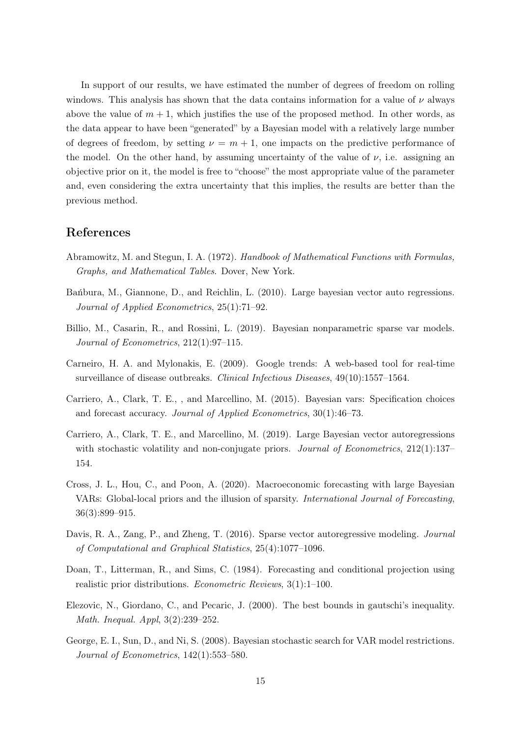In support of our results, we have estimated the number of degrees of freedom on rolling windows. This analysis has shown that the data contains information for a value of  $\nu$  always above the value of  $m + 1$ , which justifies the use of the proposed method. In other words, as the data appear to have been "generated" by a Bayesian model with a relatively large number of degrees of freedom, by setting  $\nu = m + 1$ , one impacts on the predictive performance of the model. On the other hand, by assuming uncertainty of the value of  $\nu$ , i.e. assigning an objective prior on it, the model is free to "choose" the most appropriate value of the parameter and, even considering the extra uncertainty that this implies, the results are better than the previous method.

#### References

- <span id="page-14-9"></span>Abramowitz, M. and Stegun, I. A. (1972). Handbook of Mathematical Functions with Formulas, Graphs, and Mathematical Tables. Dover, New York.
- <span id="page-14-1"></span>Bańbura, M., Giannone, D., and Reichlin, L. (2010). Large bayesian vector auto regressions. Journal of Applied Econometrics, 25(1):71–92.
- <span id="page-14-6"></span>Billio, M., Casarin, R., and Rossini, L. (2019). Bayesian nonparametric sparse var models. Journal of Econometrics, 212(1):97–115.
- <span id="page-14-7"></span>Carneiro, H. A. and Mylonakis, E. (2009). Google trends: A web-based tool for real-time surveillance of disease outbreaks. Clinical Infectious Diseases, 49(10):1557–1564.
- <span id="page-14-2"></span>Carriero, A., Clark, T. E., , and Marcellino, M. (2015). Bayesian vars: Specification choices and forecast accuracy. Journal of Applied Econometrics, 30(1):46–73.
- <span id="page-14-3"></span>Carriero, A., Clark, T. E., and Marcellino, M. (2019). Large Bayesian vector autoregressions with stochastic volatility and non-conjugate priors. *Journal of Econometrics*, 212(1):137– 154.
- <span id="page-14-5"></span>Cross, J. L., Hou, C., and Poon, A. (2020). Macroeconomic forecasting with large Bayesian VARs: Global-local priors and the illusion of sparsity. International Journal of Forecasting, 36(3):899–915.
- <span id="page-14-10"></span>Davis, R. A., Zang, P., and Zheng, T. (2016). Sparse vector autoregressive modeling. Journal of Computational and Graphical Statistics, 25(4):1077–1096.
- <span id="page-14-0"></span>Doan, T., Litterman, R., and Sims, C. (1984). Forecasting and conditional projection using realistic prior distributions. Econometric Reviews, 3(1):1–100.
- <span id="page-14-8"></span>Elezovic, N., Giordano, C., and Pecaric, J. (2000). The best bounds in gautschi's inequality. Math. Inequal. Appl, 3(2):239–252.
- <span id="page-14-4"></span>George, E. I., Sun, D., and Ni, S. (2008). Bayesian stochastic search for VAR model restrictions. Journal of Econometrics, 142(1):553–580.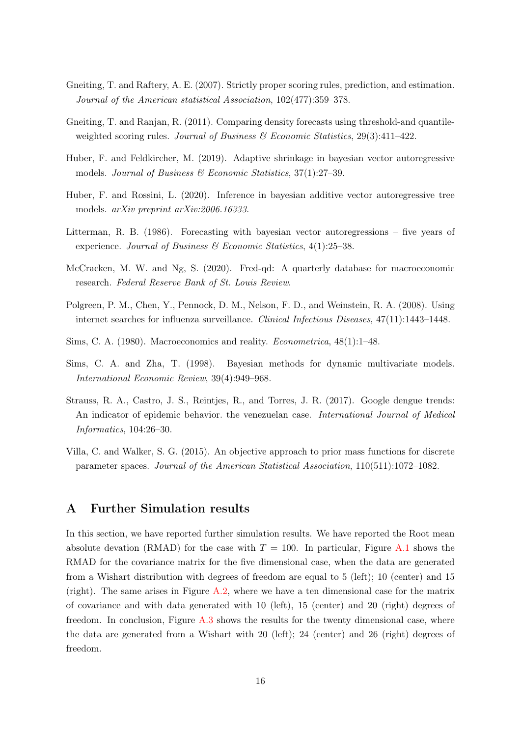- <span id="page-15-8"></span>Gneiting, T. and Raftery, A. E. (2007). Strictly proper scoring rules, prediction, and estimation. Journal of the American statistical Association, 102(477):359–378.
- <span id="page-15-9"></span>Gneiting, T. and Ranjan, R. (2011). Comparing density forecasts using threshold-and quantileweighted scoring rules. Journal of Business  $\mathcal{B}$  Economic Statistics, 29(3):411–422.
- <span id="page-15-3"></span>Huber, F. and Feldkircher, M. (2019). Adaptive shrinkage in bayesian vector autoregressive models. Journal of Business  $\mathcal C$  Economic Statistics, 37(1):27-39.
- <span id="page-15-4"></span>Huber, F. and Rossini, L. (2020). Inference in bayesian additive vector autoregressive tree models. arXiv preprint arXiv:2006.16333.
- <span id="page-15-1"></span>Litterman, R. B. (1986). Forecasting with bayesian vector autoregressions – five years of experience. Journal of Business & Economic Statistics, 4(1):25–38.
- <span id="page-15-6"></span>McCracken, M. W. and Ng, S. (2020). Fred-qd: A quarterly database for macroeconomic research. Federal Reserve Bank of St. Louis Review.
- <span id="page-15-10"></span>Polgreen, P. M., Chen, Y., Pennock, D. M., Nelson, F. D., and Weinstein, R. A. (2008). Using internet searches for influenza surveillance. Clinical Infectious Diseases, 47(11):1443–1448.
- <span id="page-15-0"></span>Sims, C. A. (1980). Macroeconomics and reality. Econometrica, 48(1):1–48.
- <span id="page-15-2"></span>Sims, C. A. and Zha, T. (1998). Bayesian methods for dynamic multivariate models. International Economic Review, 39(4):949–968.
- <span id="page-15-7"></span>Strauss, R. A., Castro, J. S., Reintjes, R., and Torres, J. R. (2017). Google dengue trends: An indicator of epidemic behavior. the venezuelan case. International Journal of Medical Informatics, 104:26–30.
- <span id="page-15-5"></span>Villa, C. and Walker, S. G. (2015). An objective approach to prior mass functions for discrete parameter spaces. Journal of the American Statistical Association, 110(511):1072–1082.

## A Further Simulation results

In this section, we have reported further simulation results. We have reported the Root mean absolute devation (RMAD) for the case with  $T = 100$ . In particular, Figure [A.1](#page-16-0) shows the RMAD for the covariance matrix for the five dimensional case, when the data are generated from a Wishart distribution with degrees of freedom are equal to 5 (left); 10 (center) and 15 (right). The same arises in Figure [A.2,](#page-16-1) where we have a ten dimensional case for the matrix of covariance and with data generated with 10 (left), 15 (center) and 20 (right) degrees of freedom. In conclusion, Figure  $A.3$  shows the results for the twenty dimensional case, where the data are generated from a Wishart with 20 (left); 24 (center) and 26 (right) degrees of freedom.